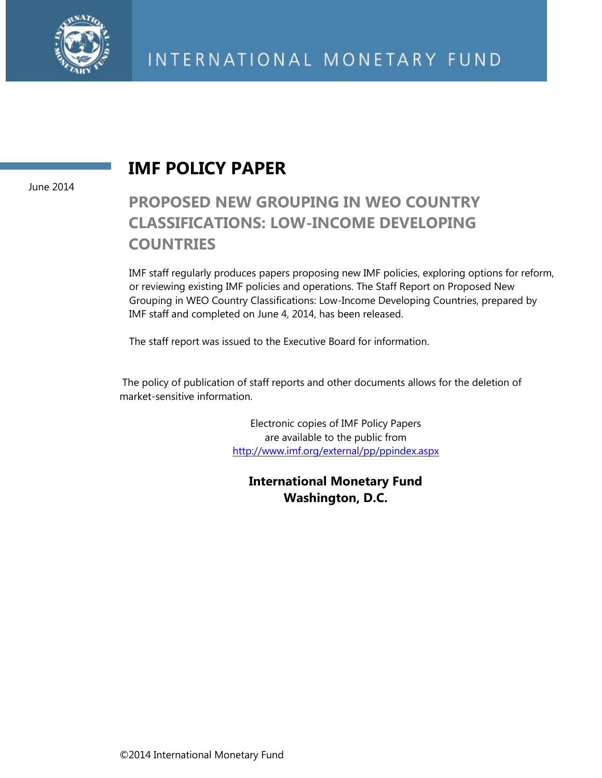

June 2014

#### **IMF POLICY PAPER**

#### **PROPOSED NEW GROUPING IN WEO COUNTRY CLASSIFICATIONS: LOW-INCOME DEVELOPING COUNTRIES**

IMF staff regularly produces papers proposing new IMF policies, exploring options for reform, or reviewing existing IMF policies and operations. The Staff Report on Proposed New Grouping in WEO Country Classifications: Low-Income Developing Countries, prepared by IMF staff and completed on June 4, 2014, has been released.

The staff report was issued to the Executive Board for information.

The policy of publication of staff reports and other documents allows for the deletion of market-sensitive information.

> Electronic copies of IMF Policy Papers are available to the public from <http://www.imf.org/external/pp/ppindex.aspx>

**International Monetary Fund Washington, D.C.**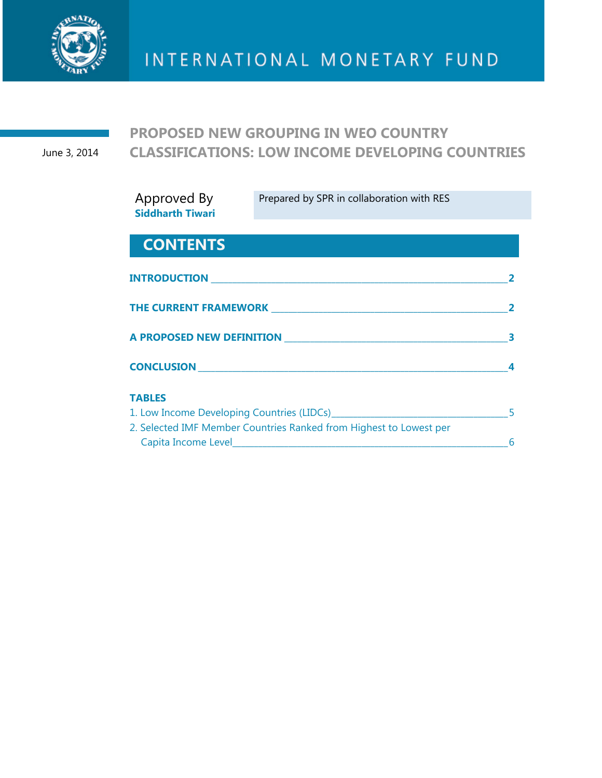

June 3, 2014

#### **PROPOSED NEW GROUPING IN WEO COUNTRY CLASSIFICATIONS: LOW INCOME DEVELOPING COUNTRIES**

| Approved By<br><b>Siddharth Tiwari</b> | Prepared by SPR in collaboration with RES                                                                                                                                                                                            |   |  |  |  |
|----------------------------------------|--------------------------------------------------------------------------------------------------------------------------------------------------------------------------------------------------------------------------------------|---|--|--|--|
| <b>CONTENTS</b>                        |                                                                                                                                                                                                                                      |   |  |  |  |
|                                        |                                                                                                                                                                                                                                      |   |  |  |  |
|                                        |                                                                                                                                                                                                                                      |   |  |  |  |
|                                        |                                                                                                                                                                                                                                      |   |  |  |  |
|                                        | <b>CONCLUSION EXECUTIVE IN A REPORT OF A REPORT OF A REPORT OF A REPORT OF A REPORT OF A REPORT OF A REPORT OF A REPORT OF A REPORT OF A REPORT OF A REPORT OF A REPORT OF A REPORT OF A REPORT OF A REPORT OF A REPORT OF A REP</b> |   |  |  |  |
| <b>TABLES</b>                          |                                                                                                                                                                                                                                      |   |  |  |  |
|                                        |                                                                                                                                                                                                                                      |   |  |  |  |
| Capita Income Level                    | 2. Selected IMF Member Countries Ranked from Highest to Lowest per                                                                                                                                                                   | 6 |  |  |  |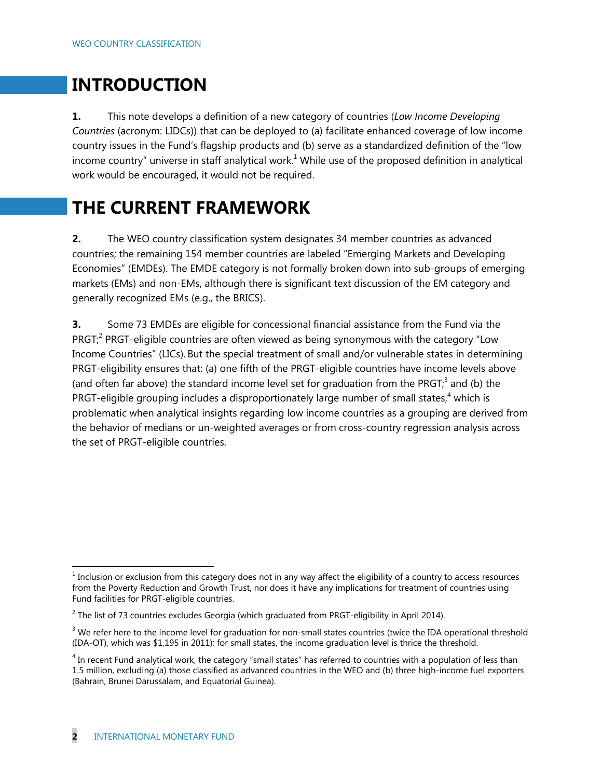## **INTRODUCTION**

**1.** This note develops a definition of a new category of countries (*Low Income Developing Countries* (acronym: LIDCs)) that can be deployed to (a) facilitate enhanced coverage of low income country issues in the Fund's flagship products and (b) serve as a standardized definition of the "low income country" universe in staff analytical work.<sup>1</sup> While use of the proposed definition in analytical work would be encouraged, it would not be required.

## **THE CURRENT FRAMEWORK**

**2.** The WEO country classification system designates 34 member countries as advanced countries; the remaining 154 member countries are labeled "Emerging Markets and Developing Economies" (EMDEs). The EMDE category is not formally broken down into sub-groups of emerging markets (EMs) and non-EMs, although there is significant text discussion of the EM category and generally recognized EMs (e.g., the BRICS).

**3.** Some 73 EMDEs are eligible for concessional financial assistance from the Fund via the PRGT;<sup>2</sup> PRGT-eligible countries are often viewed as being synonymous with the category "Low Income Countries" (LICs). But the special treatment of small and/or vulnerable states in determining PRGT-eligibility ensures that: (a) one fifth of the PRGT-eligible countries have income levels above (and often far above) the standard income level set for graduation from the PRGT $<sup>3</sup>$  and (b) the</sup> PRGT-eligible grouping includes a disproportionately large number of small states, $4$  which is problematic when analytical insights regarding low income countries as a grouping are derived from the behavior of medians or un-weighted averages or from cross-country regression analysis across the set of PRGT-eligible countries.

-

 $^1$  Inclusion or exclusion from this category does not in any way affect the eligibility of a country to access resources from the Poverty Reduction and Growth Trust, nor does it have any implications for treatment of countries using Fund facilities for PRGT-eligible countries.

 $2$  The list of 73 countries excludes Georgia (which graduated from PRGT-eligibility in April 2014).

 $3$  We refer here to the income level for graduation for non-small states countries (twice the IDA operational threshold (IDA-OT), which was \$1,195 in 2011); for small states, the income graduation level is thrice the threshold.

 $^4$  In recent Fund analytical work, the category "small states" has referred to countries with a population of less than 1.5 million, excluding (a) those classified as advanced countries in the WEO and (b) three high-income fuel exporters (Bahrain, Brunei Darussalam, and Equatorial Guinea).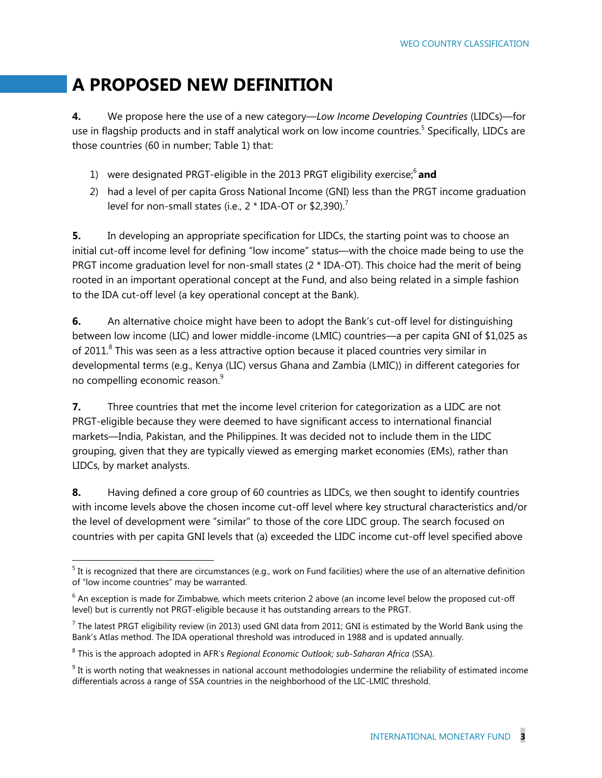## **A PROPOSED NEW DEFINITION**

**4.** We propose here the use of a new category—*Low Income Developing Countries* (LIDCs)—for use in flagship products and in staff analytical work on low income countries.<sup>5</sup> Specifically, LIDCs are those countries (60 in number; Table 1) that:

- 1) were designated PRGT-eligible in the 2013 PRGT eligibility exercise;<sup>6</sup>**and**
- 2) had a level of per capita Gross National Income (GNI) less than the PRGT income graduation level for non-small states (i.e., 2 \* IDA-OT or \$2,390).<sup>7</sup>

**5.** In developing an appropriate specification for LIDCs, the starting point was to choose an initial cut-off income level for defining "low income" status—with the choice made being to use the PRGT income graduation level for non-small states (2 \* IDA-OT). This choice had the merit of being rooted in an important operational concept at the Fund, and also being related in a simple fashion to the IDA cut-off level (a key operational concept at the Bank).

**6.** An alternative choice might have been to adopt the Bank's cut-off level for distinguishing between low income (LIC) and lower middle-income (LMIC) countries—a per capita GNI of \$1,025 as of 2011.<sup>8</sup> This was seen as a less attractive option because it placed countries very similar in developmental terms (e.g., Kenya (LIC) versus Ghana and Zambia (LMIC)) in different categories for no compelling economic reason.<sup>9</sup>

**7.** Three countries that met the income level criterion for categorization as a LIDC are not PRGT-eligible because they were deemed to have significant access to international financial markets—India, Pakistan, and the Philippines. It was decided not to include them in the LIDC grouping, given that they are typically viewed as emerging market economies (EMs), rather than LIDCs, by market analysts.

**8.** Having defined a core group of 60 countries as LIDCs, we then sought to identify countries with income levels above the chosen income cut-off level where key structural characteristics and/or the level of development were "similar" to those of the core LIDC group. The search focused on countries with per capita GNI levels that (a) exceeded the LIDC income cut-off level specified above

-

 $<sup>5</sup>$  It is recognized that there are circumstances (e.g., work on Fund facilities) where the use of an alternative definition</sup> of "low income countries" may be warranted.

 $6$  An exception is made for Zimbabwe, which meets criterion 2 above (an income level below the proposed cut-off level) but is currently not PRGT-eligible because it has outstanding arrears to the PRGT.

<sup>&</sup>lt;sup>7</sup> The latest PRGT eligibility review (in 2013) used GNI data from 2011; GNI is estimated by the World Bank using the Bank's Atlas method. The IDA operational threshold was introduced in 1988 and is updated annually.

<sup>8</sup> This is the approach adopted in AFR's *Regional Economic Outlook; sub-Saharan Africa* (SSA).

 $9$  It is worth noting that weaknesses in national account methodologies undermine the reliability of estimated income differentials across a range of SSA countries in the neighborhood of the LIC-LMIC threshold.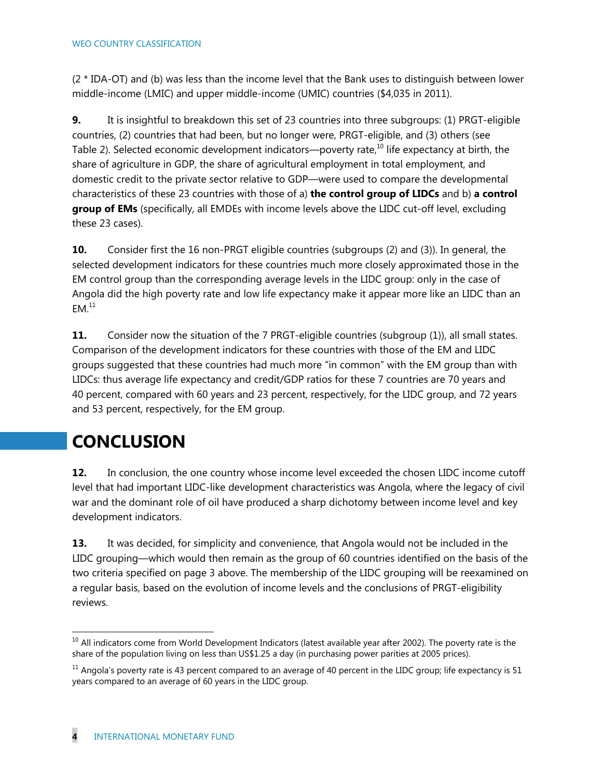(2 \* IDA-OT) and (b) was less than the income level that the Bank uses to distinguish between lower middle-income (LMIC) and upper middle-income (UMIC) countries (\$4,035 in 2011).

**9.** It is insightful to breakdown this set of 23 countries into three subgroups: (1) PRGT-eligible countries, (2) countries that had been, but no longer were, PRGT-eligible, and (3) others (see Table 2). Selected economic development indicators—poverty rate,<sup>10</sup> life expectancy at birth, the share of agriculture in GDP, the share of agricultural employment in total employment, and domestic credit to the private sector relative to GDP—were used to compare the developmental characteristics of these 23 countries with those of a) **the control group of LIDCs** and b) **a control group of EMs** (specifically, all EMDEs with income levels above the LIDC cut-off level, excluding these 23 cases).

**10.** Consider first the 16 non-PRGT eligible countries (subgroups (2) and (3)). In general, the selected development indicators for these countries much more closely approximated those in the EM control group than the corresponding average levels in the LIDC group: only in the case of Angola did the high poverty rate and low life expectancy make it appear more like an LIDC than an  $EM<sup>11</sup>$ 

**11.** Consider now the situation of the 7 PRGT-eligible countries (subgroup (1)), all small states. Comparison of the development indicators for these countries with those of the EM and LIDC groups suggested that these countries had much more "in common" with the EM group than with LIDCs: thus average life expectancy and credit/GDP ratios for these 7 countries are 70 years and 40 percent, compared with 60 years and 23 percent, respectively, for the LIDC group, and 72 years and 53 percent, respectively, for the EM group.

# **CONCLUSION**

**12.** In conclusion, the one country whose income level exceeded the chosen LIDC income cutoff level that had important LIDC-like development characteristics was Angola, where the legacy of civil war and the dominant role of oil have produced a sharp dichotomy between income level and key development indicators.

**13.** It was decided, for simplicity and convenience, that Angola would not be included in the LIDC grouping—which would then remain as the group of 60 countries identified on the basis of the two criteria specified on page 3 above. The membership of the LIDC grouping will be reexamined on a regular basis, based on the evolution of income levels and the conclusions of PRGT-eligibility reviews.

<sup>-</sup><sup>10</sup> All indicators come from World Development Indicators (latest available year after 2002). The poverty rate is the share of the population living on less than US\$1.25 a day (in purchasing power parities at 2005 prices).

 $11$  Angola's poverty rate is 43 percent compared to an average of 40 percent in the LIDC group; life expectancy is 51 years compared to an average of 60 years in the LIDC group.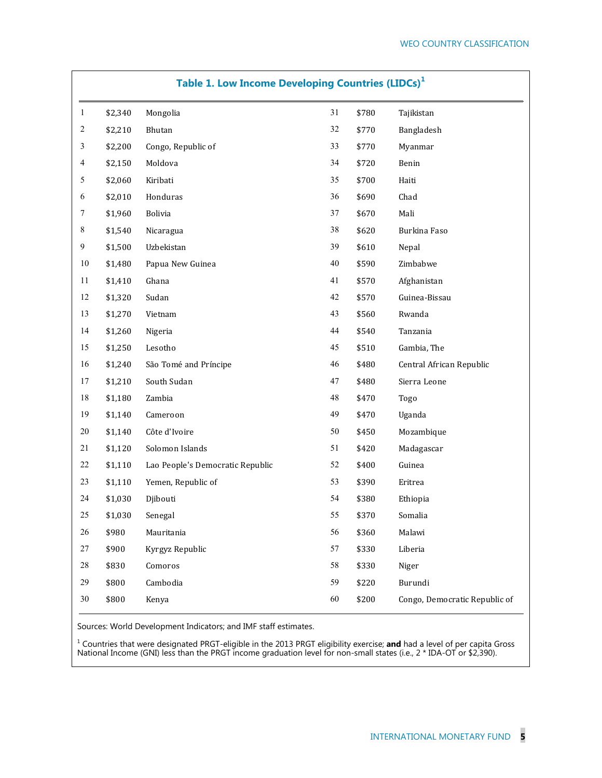|              | Table 1. Low Income Developing Countries (LIDCs) <sup>1</sup> |                                  |    |       |                               |  |
|--------------|---------------------------------------------------------------|----------------------------------|----|-------|-------------------------------|--|
| $\mathbf{1}$ | \$2,340                                                       | Mongolia                         | 31 | \$780 | Tajikistan                    |  |
| 2            | \$2,210                                                       | Bhutan                           | 32 | \$770 | Bangladesh                    |  |
| 3            | \$2,200                                                       | Congo, Republic of               | 33 | \$770 | Myanmar                       |  |
| 4            | \$2,150                                                       | Moldova                          | 34 | \$720 | Benin                         |  |
| 5            | \$2,060                                                       | Kiribati                         | 35 | \$700 | Haiti                         |  |
| 6            | \$2,010                                                       | Honduras                         | 36 | \$690 | Chad                          |  |
| 7            | \$1,960                                                       | Bolivia                          | 37 | \$670 | Mali                          |  |
| 8            | \$1,540                                                       | Nicaragua                        | 38 | \$620 | Burkina Faso                  |  |
| 9            | \$1,500                                                       | Uzbekistan                       | 39 | \$610 | Nepal                         |  |
| 10           | \$1,480                                                       | Papua New Guinea                 | 40 | \$590 | Zimbabwe                      |  |
| 11           | \$1,410                                                       | Ghana                            | 41 | \$570 | Afghanistan                   |  |
| 12           | \$1,320                                                       | Sudan                            | 42 | \$570 | Guinea-Bissau                 |  |
| 13           | \$1,270                                                       | Vietnam                          | 43 | \$560 | Rwanda                        |  |
| 14           | \$1,260                                                       | Nigeria                          | 44 | \$540 | Tanzania                      |  |
| 15           | \$1,250                                                       | Lesotho                          | 45 | \$510 | Gambia, The                   |  |
| 16           | \$1,240                                                       | São Tomé and Príncipe            | 46 | \$480 | Central African Republic      |  |
| 17           | \$1,210                                                       | South Sudan                      | 47 | \$480 | Sierra Leone                  |  |
| 18           | \$1,180                                                       | Zambia                           | 48 | \$470 | Togo                          |  |
| 19           | \$1,140                                                       | Cameroon                         | 49 | \$470 | Uganda                        |  |
| $20\,$       | \$1,140                                                       | Côte d'Ivoire                    | 50 | \$450 | Mozambique                    |  |
| 21           | \$1,120                                                       | Solomon Islands                  | 51 | \$420 | Madagascar                    |  |
| 22           | \$1,110                                                       | Lao People's Democratic Republic | 52 | \$400 | Guinea                        |  |
| 23           | \$1,110                                                       | Yemen, Republic of               | 53 | \$390 | Eritrea                       |  |
| 24           | \$1,030                                                       | Djibouti                         | 54 | \$380 | Ethiopia                      |  |
| 25           | \$1,030                                                       | Senegal                          | 55 | \$370 | Somalia                       |  |
| 26           | \$980                                                         | Mauritania                       | 56 | \$360 | Malawi                        |  |
| 27           | \$900                                                         | Kyrgyz Republic                  | 57 | \$330 | Liberia                       |  |
| $28\,$       | \$830                                                         | Comoros                          | 58 | \$330 | Niger                         |  |
| 29           | \$800                                                         | Cambodia                         | 59 | \$220 | Burundi                       |  |
| 30           | \$800                                                         | Kenya                            | 60 | \$200 | Congo, Democratic Republic of |  |

Sources: World Development Indicators; and IMF staff estimates.

 Countries that were designated PRGT-eligible in the 2013 PRGT eligibility exercise; **and** had a level of per capita Gross National Income (GNI) less than the PRGT income graduation level for non-small states (i.e., 2 \* IDA-OT or \$2,390).